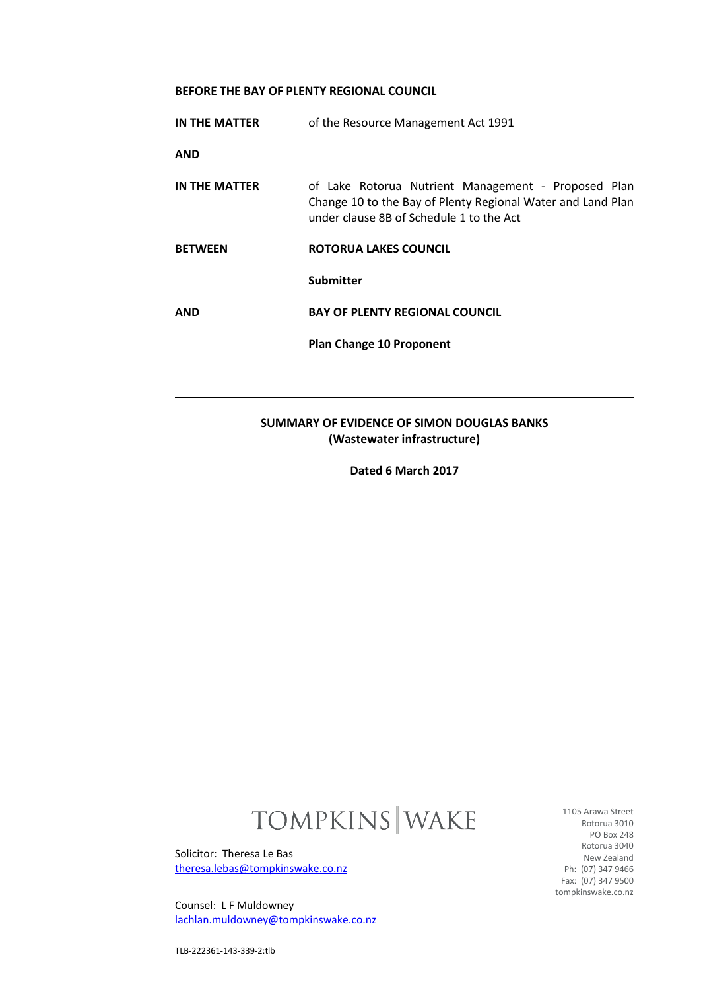# **BEFORE THE BAY OF PLENTY REGIONAL COUNCIL**

| IN THE MATTER                                                             | of the Resource Management Act 1991                                                                                                                            |
|---------------------------------------------------------------------------|----------------------------------------------------------------------------------------------------------------------------------------------------------------|
| <b>AND</b>                                                                |                                                                                                                                                                |
| IN THE MATTER                                                             | of Lake Rotorua Nutrient Management - Proposed Plan<br>Change 10 to the Bay of Plenty Regional Water and Land Plan<br>under clause 8B of Schedule 1 to the Act |
| <b>BETWEEN</b>                                                            | ROTORUA LAKES COUNCIL                                                                                                                                          |
|                                                                           | <b>Submitter</b>                                                                                                                                               |
| <b>AND</b>                                                                | <b>BAY OF PLENTY REGIONAL COUNCIL</b>                                                                                                                          |
|                                                                           | <b>Plan Change 10 Proponent</b>                                                                                                                                |
|                                                                           |                                                                                                                                                                |
| SUMMARY OF EVIDENCE OF SIMON DOUGLAS BANKS<br>(Wastewater infrastructure) |                                                                                                                                                                |
| Dated 6 March 2017                                                        |                                                                                                                                                                |

# TOMPKINS WAKE

Solicitor: Theresa Le Bas [theresa.lebas@tompkinswake.co.nz](mailto:theresa.lebas@tompkinswake.co.nz)

Counsel: L F Muldowney [lachlan.muldowney@tompkinswake.co.nz](mailto:lachlan.muldowney@tompkinswake.co.nz)

1105 Arawa Street Rotorua 3010 PO Box 248 Rotorua 3040 New Zealand Ph: (07) 347 9466 Fax: (07) 347 9500 tompkinswake.co.nz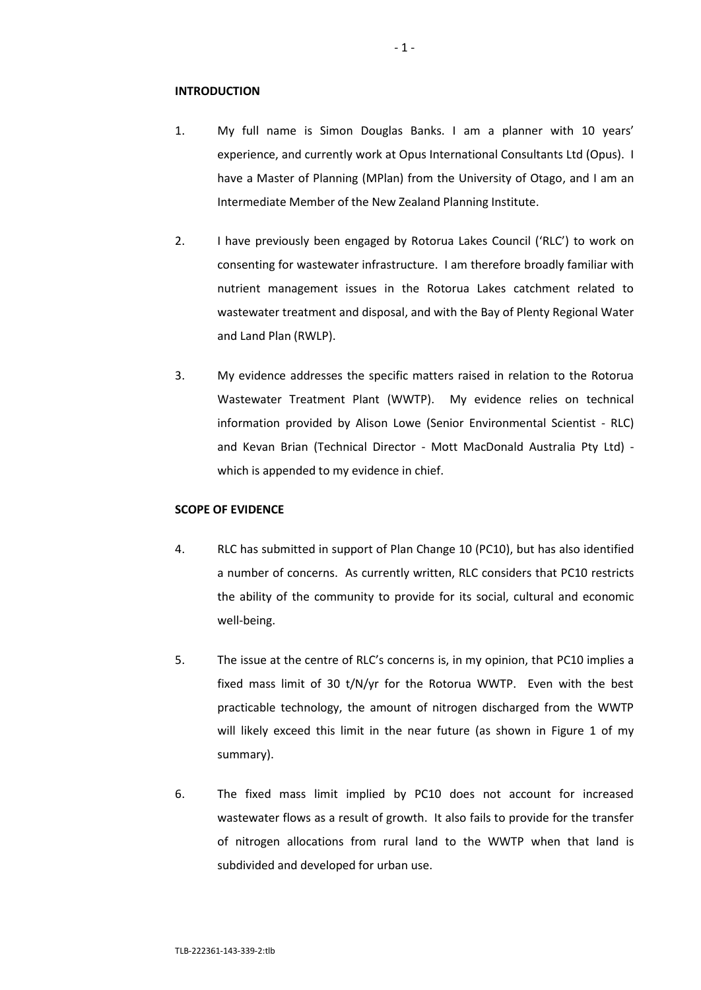#### **INTRODUCTION**

- 1. My full name is Simon Douglas Banks. I am a planner with 10 years' experience, and currently work at Opus International Consultants Ltd (Opus). I have a Master of Planning (MPlan) from the University of Otago, and I am an Intermediate Member of the New Zealand Planning Institute.
- 2. I have previously been engaged by Rotorua Lakes Council ('RLC') to work on consenting for wastewater infrastructure. I am therefore broadly familiar with nutrient management issues in the Rotorua Lakes catchment related to wastewater treatment and disposal, and with the Bay of Plenty Regional Water and Land Plan (RWLP).
- 3. My evidence addresses the specific matters raised in relation to the Rotorua Wastewater Treatment Plant (WWTP). My evidence relies on technical information provided by Alison Lowe (Senior Environmental Scientist - RLC) and Kevan Brian (Technical Director - Mott MacDonald Australia Pty Ltd) which is appended to my evidence in chief.

# **SCOPE OF EVIDENCE**

- 4. RLC has submitted in support of Plan Change 10 (PC10), but has also identified a number of concerns. As currently written, RLC considers that PC10 restricts the ability of the community to provide for its social, cultural and economic well-being.
- 5. The issue at the centre of RLC's concerns is, in my opinion, that PC10 implies a fixed mass limit of 30 t/N/yr for the Rotorua WWTP. Even with the best practicable technology, the amount of nitrogen discharged from the WWTP will likely exceed this limit in the near future (as shown in Figure 1 of my summary).
- 6. The fixed mass limit implied by PC10 does not account for increased wastewater flows as a result of growth. It also fails to provide for the transfer of nitrogen allocations from rural land to the WWTP when that land is subdivided and developed for urban use.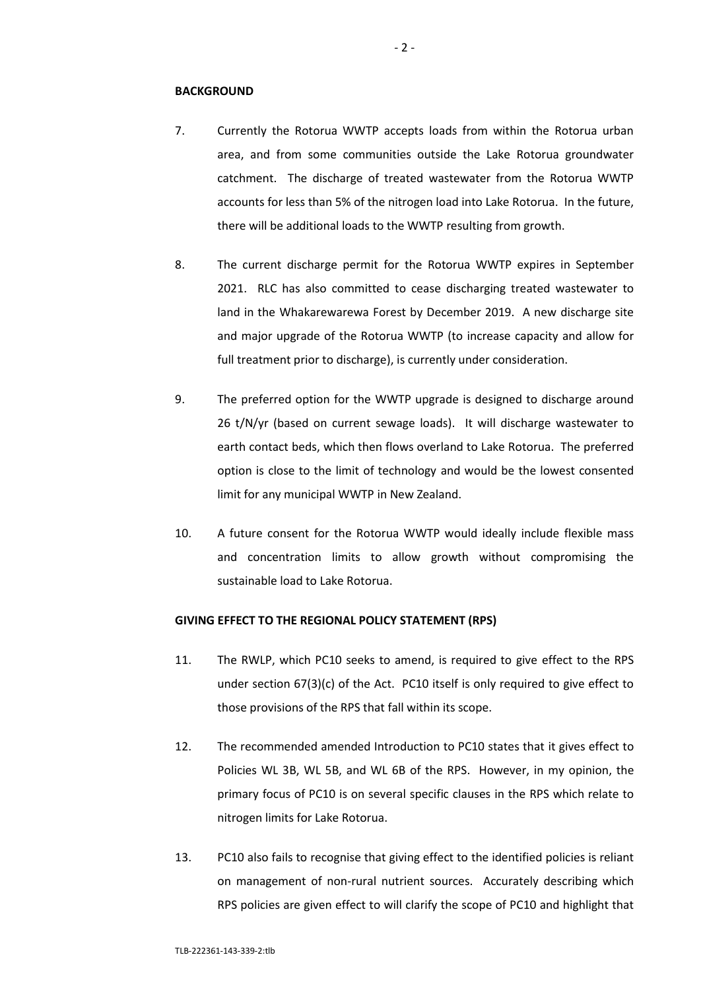#### **BACKGROUND**

- 7. Currently the Rotorua WWTP accepts loads from within the Rotorua urban area, and from some communities outside the Lake Rotorua groundwater catchment. The discharge of treated wastewater from the Rotorua WWTP accounts for less than 5% of the nitrogen load into Lake Rotorua. In the future, there will be additional loads to the WWTP resulting from growth.
- 8. The current discharge permit for the Rotorua WWTP expires in September 2021. RLC has also committed to cease discharging treated wastewater to land in the Whakarewarewa Forest by December 2019. A new discharge site and major upgrade of the Rotorua WWTP (to increase capacity and allow for full treatment prior to discharge), is currently under consideration.
- 9. The preferred option for the WWTP upgrade is designed to discharge around 26 t/N/yr (based on current sewage loads). It will discharge wastewater to earth contact beds, which then flows overland to Lake Rotorua. The preferred option is close to the limit of technology and would be the lowest consented limit for any municipal WWTP in New Zealand.
- 10. A future consent for the Rotorua WWTP would ideally include flexible mass and concentration limits to allow growth without compromising the sustainable load to Lake Rotorua.

#### **GIVING EFFECT TO THE REGIONAL POLICY STATEMENT (RPS)**

- 11. The RWLP, which PC10 seeks to amend, is required to give effect to the RPS under section 67(3)(c) of the Act. PC10 itself is only required to give effect to those provisions of the RPS that fall within its scope.
- 12. The recommended amended Introduction to PC10 states that it gives effect to Policies WL 3B, WL 5B, and WL 6B of the RPS. However, in my opinion, the primary focus of PC10 is on several specific clauses in the RPS which relate to nitrogen limits for Lake Rotorua.
- 13. PC10 also fails to recognise that giving effect to the identified policies is reliant on management of non-rural nutrient sources. Accurately describing which RPS policies are given effect to will clarify the scope of PC10 and highlight that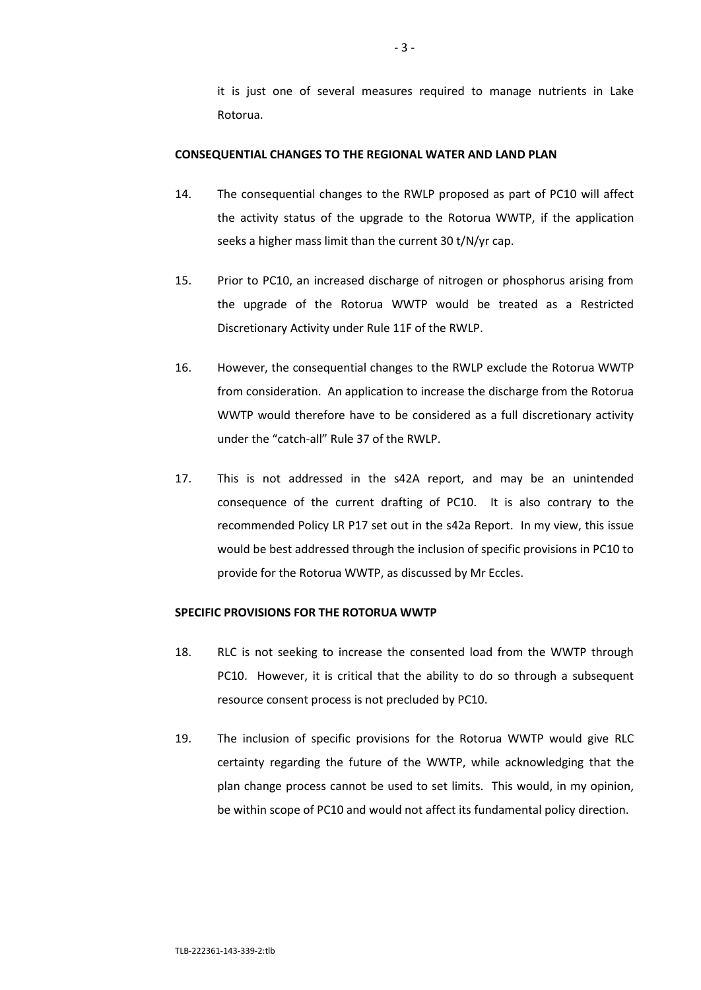it is just one of several measures required to manage nutrients in Lake Rotorua.

#### **CONSEQUENTIAL CHANGES TO THE REGIONAL WATER AND LAND PLAN**

- 14. The consequential changes to the RWLP proposed as part of PC10 will affect the activity status of the upgrade to the Rotorua WWTP, if the application seeks a higher mass limit than the current 30 t/N/yr cap.
- 15. Prior to PC10, an increased discharge of nitrogen or phosphorus arising from the upgrade of the Rotorua WWTP would be treated as a Restricted Discretionary Activity under Rule 11F of the RWLP.
- 16. However, the consequential changes to the RWLP exclude the Rotorua WWTP from consideration. An application to increase the discharge from the Rotorua WWTP would therefore have to be considered as a full discretionary activity under the "catch-all" Rule 37 of the RWLP.
- 17. This is not addressed in the s42A report, and may be an unintended consequence of the current drafting of PC10. It is also contrary to the recommended Policy LR P17 set out in the s42a Report. In my view, this issue would be best addressed through the inclusion of specific provisions in PC10 to provide for the Rotorua WWTP, as discussed by Mr Eccles.

# **SPECIFIC PROVISIONS FOR THE ROTORUA WWTP**

- 18. RLC is not seeking to increase the consented load from the WWTP through PC10. However, it is critical that the ability to do so through a subsequent resource consent process is not precluded by PC10.
- 19. The inclusion of specific provisions for the Rotorua WWTP would give RLC certainty regarding the future of the WWTP, while acknowledging that the plan change process cannot be used to set limits. This would, in my opinion, be within scope of PC10 and would not affect its fundamental policy direction.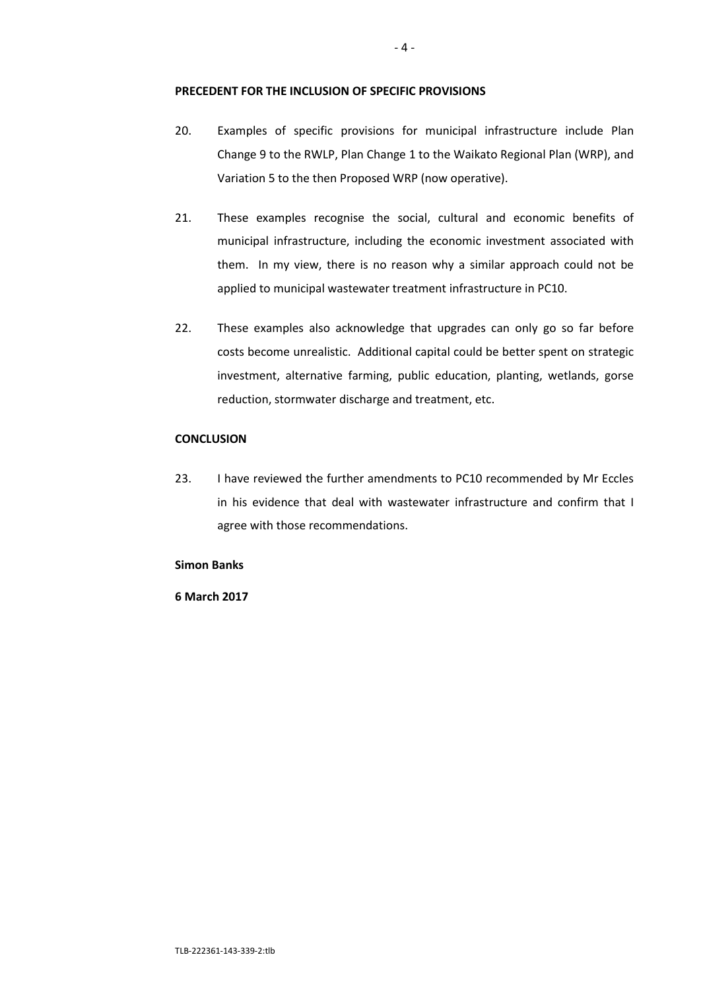# **PRECEDENT FOR THE INCLUSION OF SPECIFIC PROVISIONS**

- 20. Examples of specific provisions for municipal infrastructure include Plan Change 9 to the RWLP, Plan Change 1 to the Waikato Regional Plan (WRP), and Variation 5 to the then Proposed WRP (now operative).
- 21. These examples recognise the social, cultural and economic benefits of municipal infrastructure, including the economic investment associated with them. In my view, there is no reason why a similar approach could not be applied to municipal wastewater treatment infrastructure in PC10.
- 22. These examples also acknowledge that upgrades can only go so far before costs become unrealistic. Additional capital could be better spent on strategic investment, alternative farming, public education, planting, wetlands, gorse reduction, stormwater discharge and treatment, etc.

# **CONCLUSION**

23. I have reviewed the further amendments to PC10 recommended by Mr Eccles in his evidence that deal with wastewater infrastructure and confirm that I agree with those recommendations.

#### **Simon Banks**

### **6 March 2017**